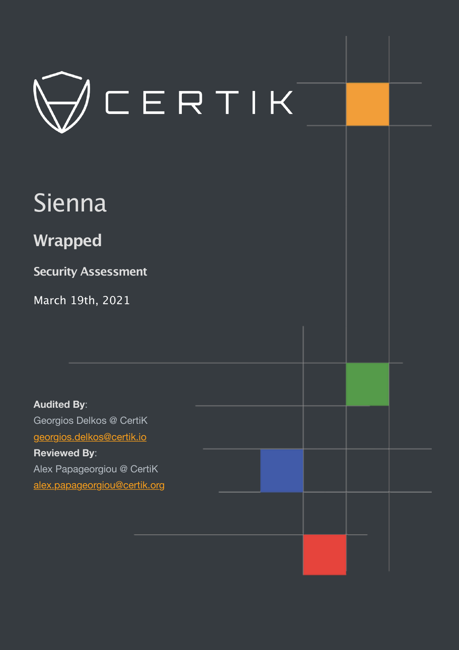

# Sienna

**Wrapped**

**Security Assessment**

March 19th, 2021

**Audited By**: Georgios Delkos @ CertiK [georgios.delkos@certik.io](mailto:georgios.delkos@certik.io) **Reviewed By**: Alex Papageorgiou @ CertiK [alex.papageorgiou@certik.org](mailto:alex.papageorgiou@certik.org)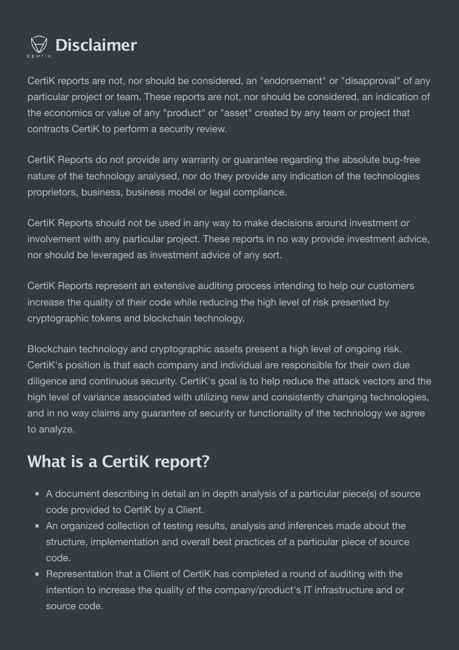

CertiK reports are not, nor should be considered, an "endorsement" or "disapproval" of any particular project or team. These reports are not, nor should be considered, an indication of the economics or value of any "product" or "asset" created by any team or project that contracts CertiK to perform a security review.

CertiK Reports do not provide any warranty or guarantee regarding the absolute bug-free nature of the technology analysed, nor do they provide any indication of the technologies proprietors, business, business model or legal compliance.

CertiK Reports should not be used in any way to make decisions around investment or involvement with any particular project. These reports in no way provide investment advice, nor should be leveraged as investment advice of any sort.

CertiK Reports represent an extensive auditing process intending to help our customers increase the quality of their code while reducing the high level of risk presented by cryptographic tokens and blockchain technology.

Blockchain technology and cryptographic assets present a high level of ongoing risk. CertiK's position is that each company and individual are responsible for their own due diligence and continuous security. CertiK's goal is to help reduce the attack vectors and the high level of variance associated with utilizing new and consistently changing technologies, and in no way claims any guarantee of security or functionality of the technology we agree to analyze.

# **What is a CertiK report?**

- A document describing in detail an in depth analysis of a particular piece(s) of source code provided to CertiK by a Client.
- An organized collection of testing results, analysis and inferences made about the structure, implementation and overall best practices of a particular piece of source code.
- Representation that a Client of CertiK has completed a round of auditing with the intention to increase the quality of the company/product's IT infrastructure and or source code.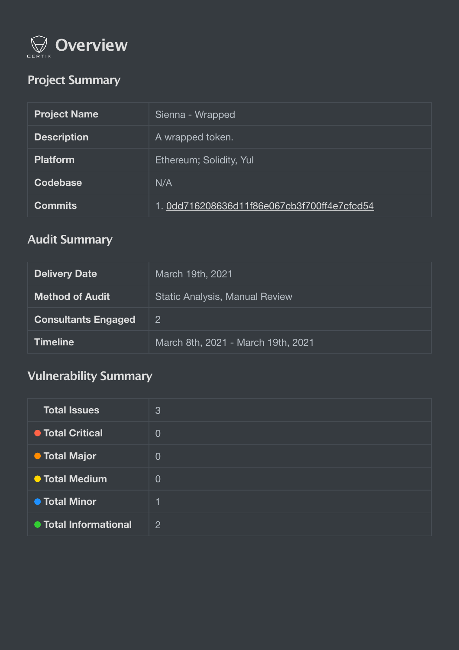

## **Project Summary**

| <b>Project Name</b> | Sienna - Wrapped                            |
|---------------------|---------------------------------------------|
| <b>Description</b>  | A wrapped token.                            |
| <b>Platform</b>     | Ethereum; Solidity, Yul                     |
| Codebase            | N/A                                         |
| <b>Commits</b>      | 1. 0dd716208636d11f86e067cb3f700ff4e7cfcd54 |

# **Audit Summary**

| <b>Delivery Date</b>       | March 19th, 2021                      |
|----------------------------|---------------------------------------|
| <b>Method of Audit</b>     | <b>Static Analysis, Manual Review</b> |
| <b>Consultants Engaged</b> | $\overline{2}$                        |
| <b>Timeline</b>            | March 8th, 2021 - March 19th, 2021    |

## **Vulnerability Summary**

| <b>Total Issues</b>     | 3              |
|-------------------------|----------------|
| <b>• Total Critical</b> | $\overline{0}$ |
| <b>• Total Major</b>    | $\overline{0}$ |
| <b>• Total Medium</b>   | $\Omega$       |
| <b>• Total Minor</b>    |                |
| ● Total Informational   | $\overline{2}$ |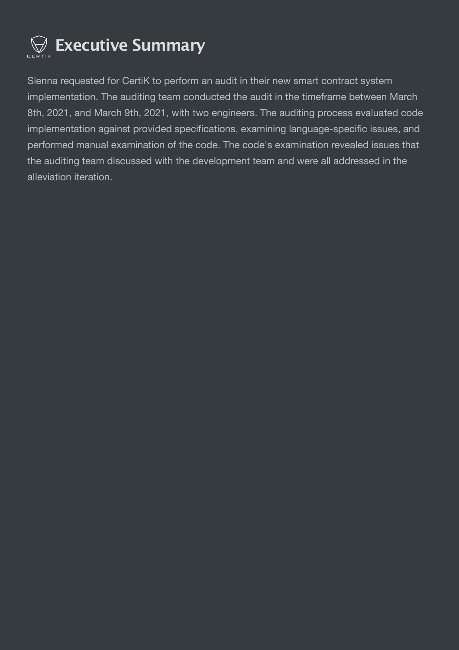

Sienna requested for CertiK to perform an audit in their new smart contract system implementation. The auditing team conducted the audit in the timeframe between March 8th, 2021, and March 9th, 2021, with two engineers. The auditing process evaluated code implementation against provided specifications, examining language-specific issues, and performed manual examination of the code. The code's examination revealed issues that the auditing team discussed with the development team and were all addressed in the alleviation iteration.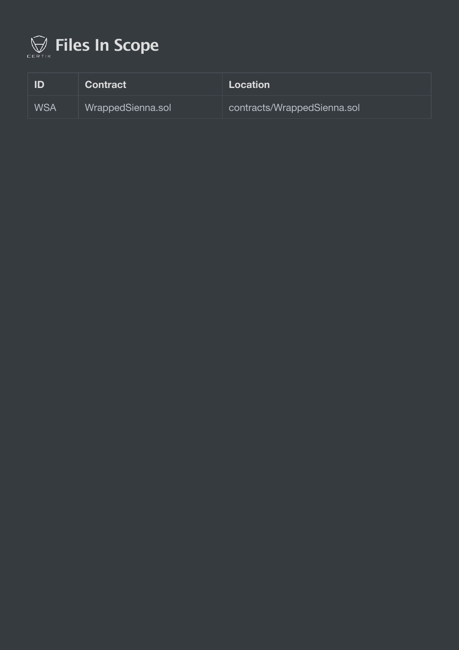

| ID         | <b>Contract</b>   | Location                    |
|------------|-------------------|-----------------------------|
| <b>WSA</b> | WrappedSienna.sol | contracts/WrappedSienna.sol |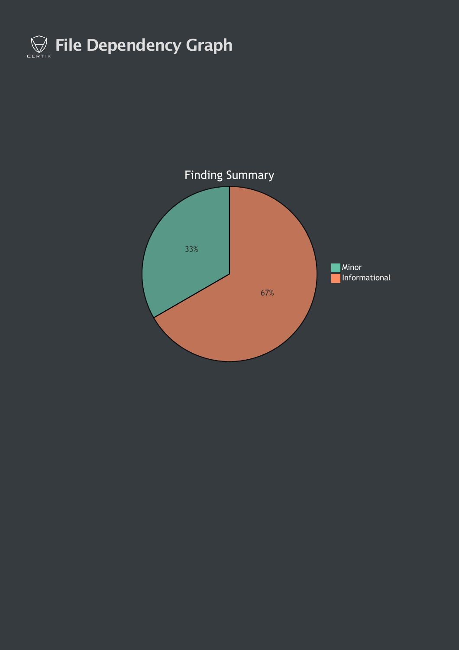

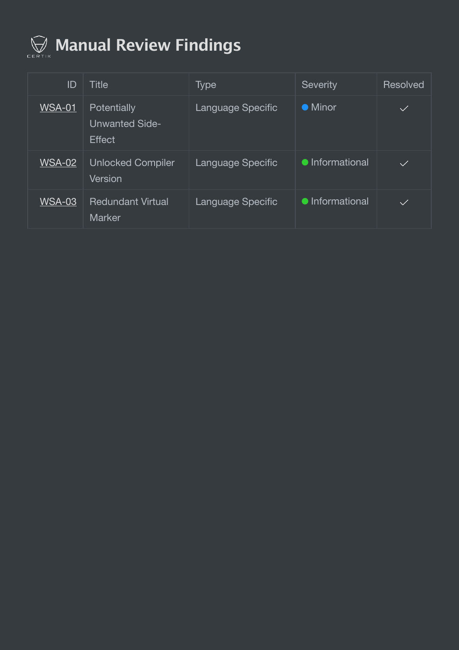

# **Manual Review Findings**

| ID            | Title                                                        | <b>Type</b>       | Severity        | Resolved     |
|---------------|--------------------------------------------------------------|-------------------|-----------------|--------------|
| <b>WSA-01</b> | <b>Potentially</b><br><b>Unwanted Side-</b><br><b>Effect</b> | Language Specific | $\bullet$ Minor | $\checkmark$ |
| <b>WSA-02</b> | <b>Unlocked Compiler</b><br>Version                          | Language Specific | • Informational | $\checkmark$ |
| <b>WSA-03</b> | <b>Redundant Virtual</b><br>Marker                           | Language Specific | • Informational | $\checkmark$ |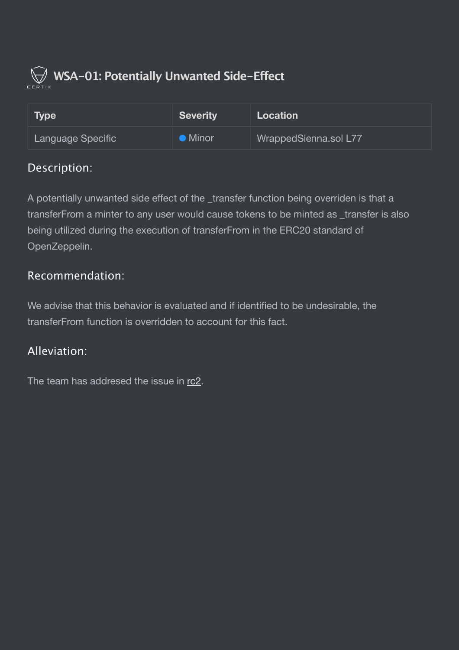

<span id="page-7-0"></span>

| Type              | <b>Severity</b> | Location              |
|-------------------|-----------------|-----------------------|
| Language Specific | <b>O</b> Minor  | WrappedSienna.sol L77 |

### Description:

A potentially unwanted side effect of the transfer function being overriden is that a transferFrom a minter to any user would cause tokens to be minted as \_transfer is also being utilized during the execution of transferFrom in the ERC20 standard of OpenZeppelin.

## Recommendation:

We advise that this behavior is evaluated and if identified to be undesirable, the transferFrom function is overridden to account for this fact.

#### Alleviation:

The team has addresed the issue in [rc2.](https://github.com/SiennaNetwork/wrapped-sienna/releases/tag/1.0.0-rc2)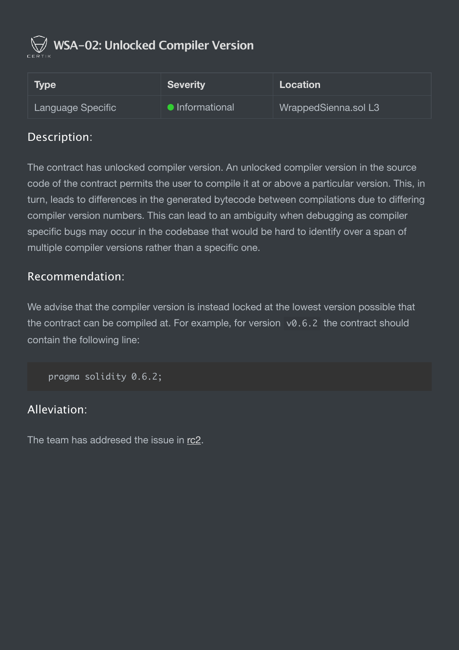

<span id="page-8-0"></span>

| Type              | Severity        | Location             |
|-------------------|-----------------|----------------------|
| Language Specific | • Informational | WrappedSienna.sol L3 |

#### Description:

The contract has unlocked compiler version. An unlocked compiler version in the source code of the contract permits the user to compile it at or above a particular version. This, in turn, leads to differences in the generated bytecode between compilations due to differing compiler version numbers. This can lead to an ambiguity when debugging as compiler specific bugs may occur in the codebase that would be hard to identify over a span of multiple compiler versions rather than a specific one.

#### Recommendation:

We advise that the compiler version is instead locked at the lowest version possible that the contract can be compiled at. For example, for version  $v0.6.2$  the contract should contain the following line:

pragma solidity 0.6.2;

#### Alleviation:

The team has addresed the issue in [rc2.](https://github.com/SiennaNetwork/wrapped-sienna/releases/tag/1.0.0-rc2)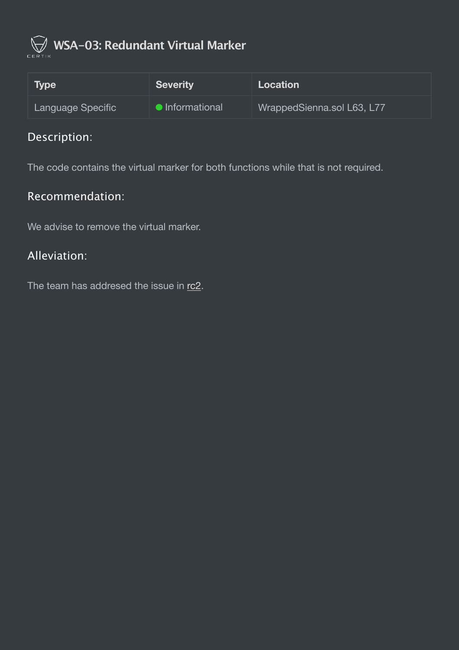

# <span id="page-9-0"></span> **WSA-03: Redundant Virtual Marker**

| <b>Type</b>       | <b>Severity</b> | <b>Location</b>            |
|-------------------|-----------------|----------------------------|
| Language Specific | • Informational | WrappedSienna.sol L63, L77 |

## Description:

The code contains the virtual marker for both functions while that is not required.

#### Recommendation:

We advise to remove the virtual marker.

#### Alleviation:

The team has addresed the issue in [rc2.](https://github.com/SiennaNetwork/wrapped-sienna/releases/tag/1.0.0-rc2)